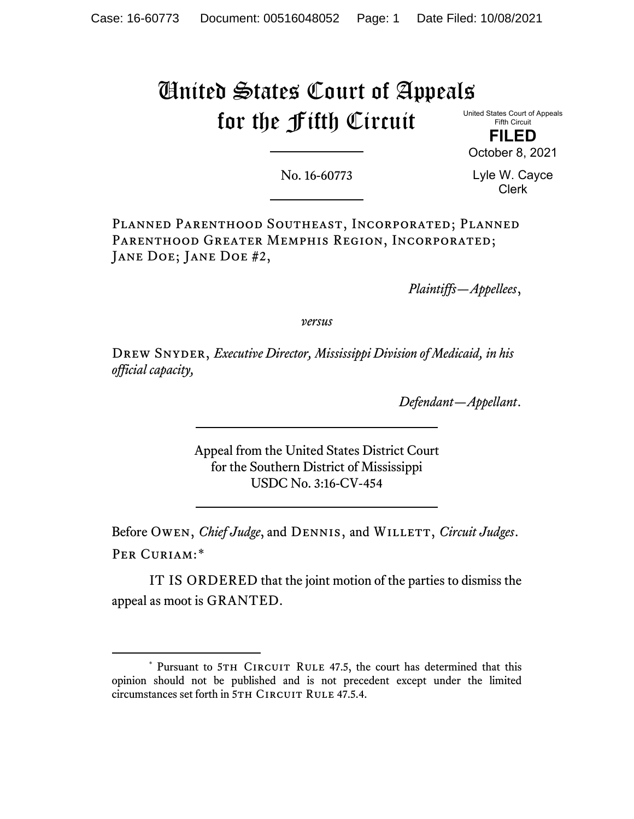## United States Court of Appeals for the Fifth Circuit

United States Court of Appeals Fifth Circuit

**FILED** October 8, 2021

No. 16-60773

Lyle W. Cayce Clerk

Planned Parenthood Southeast, Incorporated; Planned PARENTHOOD GREATER MEMPHIS REGION, INCORPORATED; JANE DOE; JANE DOE #2,

*Plaintiffs—Appellees*,

*versus*

Drew Snyder, *Executive Director, Mississippi Division of Medicaid, in his official capacity,*

*Defendant—Appellant*.

Appeal from the United States District Court for the Southern District of Mississippi USDC No. 3:16-CV-454

Before Owen, *Chief Judge*, and DENNIS, and WILLETT, *Circuit Judges*. Per Curiam:[\\*](#page-0-0)

IT IS ORDERED that the joint motion of the parties to dismiss the appeal as moot is GRANTED.

<span id="page-0-0"></span><sup>\*</sup> Pursuant to 5TH CIRCUIT RULE 47.5, the court has determined that this opinion should not be published and is not precedent except under the limited circumstances set forth in 5TH CIRCUIT RULE 47.5.4.